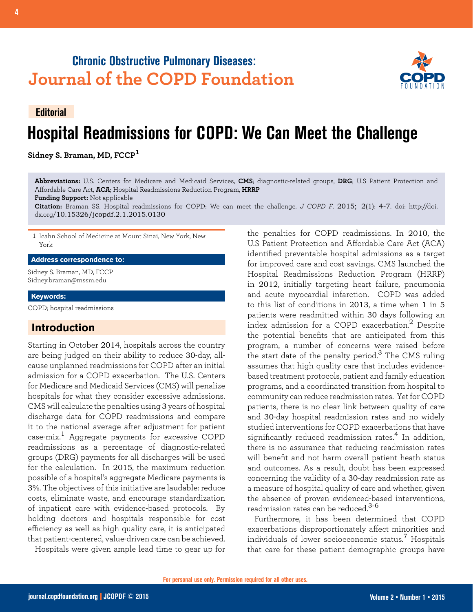## **Chronic Obstructive Pulmonary Diseases: Journal of the COPD Foundation**



# **Editorial Hospital Readmissions for COPD: We Can Meet the Challenge**

**Sidney S. Braman, MD, FCCP<sup>1</sup>**

**Abbreviations:** U.S. Centers for Medicare and Medicaid Services, **CMS**; diagnostic-related groups, **DRG**; U.S Patient Protection and Affordable Care Act, **ACA**; Hospital Readmissions Reduction Program, **HRRP Funding Support:** Not applicable

**Citation:** Braman SS. Hospital readmissions for COPD: We can meet the challenge. *J COPD F*. 2015; 2(1): 4-7. doi: http://doi. dx.org/10.15326/jcopdf.2.1.2015.0130

1 Icahn School of Medicine at Mount Sinai, New York, New York

#### **Address correspondence to:**

Sidney S. Braman, MD, FCCP Sidney.braman@mssm.edu

#### **Keywords:**

COPD; hospital readmissions

### **Introduction**

Starting in October 2014, hospitals across the country are being judged on their ability to reduce 30-day, allcause unplanned readmissions for COPD after an initial admission for a COPD exacerbation. The U.S. Centers for Medicare and Medicaid Services (CMS) will penalize hospitals for what they consider excessive admissions. CMS will calculate the penalties using 3 years of hospital discharge data for COPD readmissions and compare it to the national average after adjustment for patient case-mix.1 Aggregate payments for *excessive* COPD readmissions as a percentage of diagnostic-related groups (DRG) payments for all discharges will be used for the calculation. In 2015, the maximum reduction possible of a hospital's aggregate Medicare payments is 3%. The objectives of this initiative are laudable: reduce costs, eliminate waste, and encourage standardization of inpatient care with evidence-based protocols. By holding doctors and hospitals responsible for cost efficiency as well as high quality care, it is anticipated that patient-centered, value-driven care can be achieved. Hospitals were given ample lead time to gear up for

the penalties for COPD readmissions. In 2010, the U.S Patient Protection and Affordable Care Act (ACA) identified preventable hospital admissions as a target for improved care and cost savings. CMS launched the Hospital Readmissions Reduction Program (HRRP) in 2012, initially targeting heart failure, pneumonia and acute myocardial infarction. COPD was added to this list of conditions in 2013, a time when 1 in 5 patients were readmitted within 30 days following an index admission for a COPD exacerbation.<sup>2</sup> Despite the potential benefits that are anticipated from this program, a number of concerns were raised before the start date of the penalty period.<sup>3</sup> The CMS ruling assumes that high quality care that includes evidencebased treatment protocols, patient and family education programs, and a coordinated transition from hospital to community can reduce readmission rates. Yet for COPD patients, there is no clear link between quality of care and 30-day hospital readmission rates and no widely studied interventions for COPD exacerbations that have significantly reduced readmission rates.<sup>4</sup> In addition. there is no assurance that reducing readmission rates will benefit and not harm overall patient heath status and outcomes. As a result, doubt has been expressed concerning the validity of a 30-day readmission rate as a measure of hospital quality of care and whether, given the absence of proven evidenced-based interventions, readmission rates can be reduced.<sup>3-6</sup>

Furthermore, it has been determined that COPD exacerbations disproportionately affect minorities and individuals of lower socioeconomic status.7 Hospitals that care for these patient demographic groups have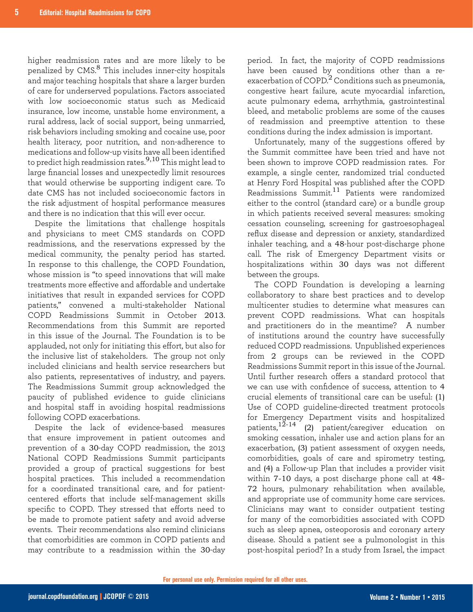higher readmission rates and are more likely to be penalized by CMS.8 This includes inner-city hospitals and major teaching hospitals that share a larger burden of care for underserved populations. Factors associated with low socioeconomic status such as Medicaid insurance, low income, unstable home environment, a rural address, lack of social support, being unmarried, risk behaviors including smoking and cocaine use, poor health literacy, poor nutrition, and non-adherence to medications and follow-up visits have all been identified to predict high readmission rates.9,10 This might lead to large financial losses and unexpectedly limit resources that would otherwise be supporting indigent care. To date CMS has not included socioeconomic factors in the risk adjustment of hospital performance measures and there is no indication that this will ever occur.

Despite the limitations that challenge hospitals and physicians to meet CMS standards on COPD readmissions, and the reservations expressed by the medical community, the penalty period has started. In response to this challenge, the COPD Foundation, whose mission is "to speed innovations that will make treatments more effective and affordable and undertake initiatives that result in expanded services for COPD patients," convened a multi-stakeholder National COPD Readmissions Summit in October 2013. Recommendations from this Summit are reported in this issue of the Journal. The Foundation is to be applauded, not only for initiating this effort, but also for the inclusive list of stakeholders. The group not only included clinicians and health service researchers but also patients, representatives of industry, and payers. The Readmissions Summit group acknowledged the paucity of published evidence to guide clinicians and hospital staff in avoiding hospital readmissions following COPD exacerbations.

Despite the lack of evidence-based measures that ensure improvement in patient outcomes and prevention of a 30-day COPD readmission, the 2013 National COPD Readmissions Summit participants provided a group of practical suggestions for best hospital practices. This included a recommendation for a coordinated transitional care, and for patientcentered efforts that include self-management skills specific to COPD. They stressed that efforts need to be made to promote patient safety and avoid adverse events. Their recommendations also remind clinicians that comorbidities are common in COPD patients and may contribute to a readmission within the 30-day

period. In fact, the majority of COPD readmissions have been caused by conditions other than a reexacerbation of COPD. $^2$  Conditions such as pneumonia, congestive heart failure, acute myocardial infarction, acute pulmonary edema, arrhythmia, gastrointestinal bleed, and metabolic problems are some of the causes of readmission and preemptive attention to these conditions during the index admission is important.

Unfortunately, many of the suggestions offered by the Summit committee have been tried and have not been shown to improve COPD readmission rates. For example, a single center, randomized trial conducted at Henry Ford Hospital was published after the COPD Readmissions Summit.11 Patients were randomized either to the control (standard care) or a bundle group in which patients received several measures: smoking cessation counseling, screening for gastroesophageal reflux disease and depression or anxiety, standardized inhaler teaching, and a 48-hour post-discharge phone call. The risk of Emergency Department visits or hospitalizations within 30 days was not different between the groups.

The COPD Foundation is developing a learning collaboratory to share best practices and to develop multicenter studies to determine what measures can prevent COPD readmissions. What can hospitals and practitioners do in the meantime? A number of institutions around the country have successfully reduced COPD readmissions. Unpublished experiences from 2 groups can be reviewed in the COPD Readmissions Summit report in this issue of the Journal. Until further research offers a standard protocol that we can use with confidence of success, attention to 4 crucial elements of transitional care can be useful: (1) Use of COPD guideline-directed treatment protocols for Emergency Department visits and hospitalized patients,  $12-14$  (2) patient/caregiver education on smoking cessation, inhaler use and action plans for an exacerbation, (3) patient assessment of oxygen needs, comorbidities, goals of care and spirometry testing, and (4) a Follow-up Plan that includes a provider visit within 7-10 days, a post discharge phone call at 48- 72 hours, pulmonary rehabilitation when available, and appropriate use of community home care services. Clinicians may want to consider outpatient testing for many of the comorbidities associated with COPD such as sleep apnea, osteoporosis and coronary artery disease. Should a patient see a pulmonologist in this post-hospital period? In a study from Israel, the impact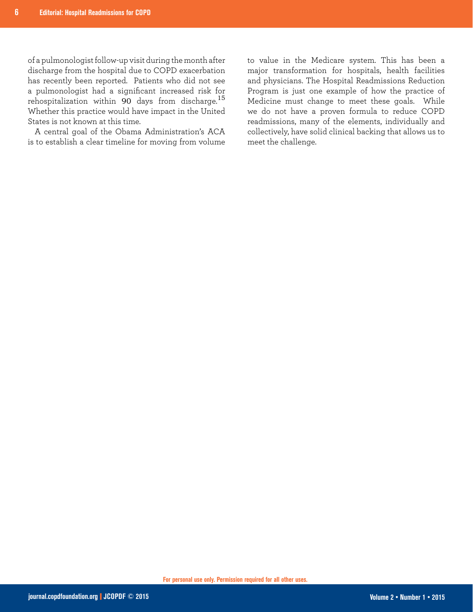of a pulmonologist follow-up visit during the month after discharge from the hospital due to COPD exacerbation has recently been reported. Patients who did not see a pulmonologist had a significant increased risk for rehospitalization within 90 days from discharge.<sup>15</sup> Whether this practice would have impact in the United States is not known at this time.

A central goal of the Obama Administration's ACA is to establish a clear timeline for moving from volume

to value in the Medicare system. This has been a major transformation for hospitals, health facilities and physicians. The Hospital Readmissions Reduction Program is just one example of how the practice of Medicine must change to meet these goals. While we do not have a proven formula to reduce COPD readmissions, many of the elements, individually and collectively, have solid clinical backing that allows us to meet the challenge.